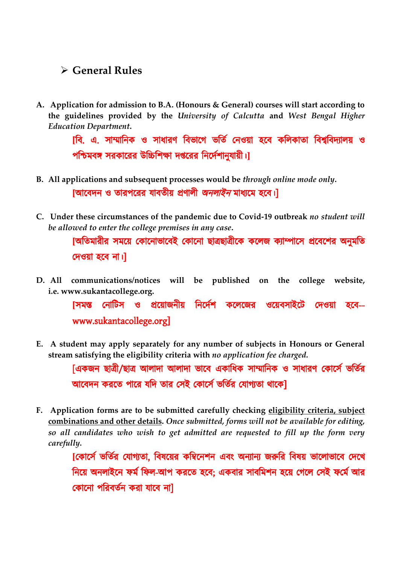## **General Rules**

**A. Application for admission to B.A. (Honours & General) courses will start according to the guidelines provided by the** *University of Calcutta* **and** *West Bengal Higher Education Department***.**

> $\overline{\phantom{a}}$  । এ. সাম্মানিক ও সাধারণ বিভাগে ভর্তি নেওয়া হবে কলিকাতা বিশ্ববিদ্যালয় ও পশ্চিমবঙ্গ সরকারের উচ্চিশিক্ষা দপ্তরের নির্দেশানুযায়ী।]

- **B. All applications and subsequent processes would be** *through online mode only***.** [আবেদন ও তারপরের যাবতীয় প্রণালী *অনলাইন* মাধ্যমে হবে।]
- **C. Under these circumstances of the pandemic due to Covid-19 outbreak** *no student will be allowed to enter the college premises in any case***.**

[অতিমারীর সময়ে কোনোভাবেই কোনো ছাত্রছাত্রীকে কলেজ ক্যাম্পাসে প্রবেশের অনুমতি দেওয়া হবে না।

**D. All communications/notices will be published on the college website, i.e. [www.sukantacollege.org.](http://www.sukantacollege.org./)**

> <u>[সমস্ত নোটিস ও প্রয়োজনীয় নির্দেশ কলেজের ওয়েবসাইটে দেওয়া হবে--</u> www.sukantacollege.org]

**E. A student may apply separately for any number of subjects in Honours or General stream satisfying the eligibility criteria with** *no application fee charged.*

> [একজন ছাত্রী/ছাত্র আলাদা আলাদা ভাবে একাধিক সাম্মানিক ও সাধারণ কোর্সে ভর্তির আবেদন করতে পারে যদি তার সেই কোর্সে ভর্তির যোগ্যতা থাকে।

**F. Application forms are to be submitted carefully checking eligibility criteria, subject combinations and other details.** *Once submitted, forms will not be available for editing, so all candidates who wish to get admitted are requested to fill up the form very carefully.*

> [কোর্সে ভর্তির যোগ্যতা, বিষয়ের কম্বিনেশন এবং অন্যান্য জরুরি বিষয় ভালোভাবে দেখে নিয়ে অনলাইনে ফর্ম ফিল-আপ করতে হবে; একবার সাবমিশন হয়ে গেলে সেই ফর্মে আর কোনো পরিবর্তন করা যাবে না]